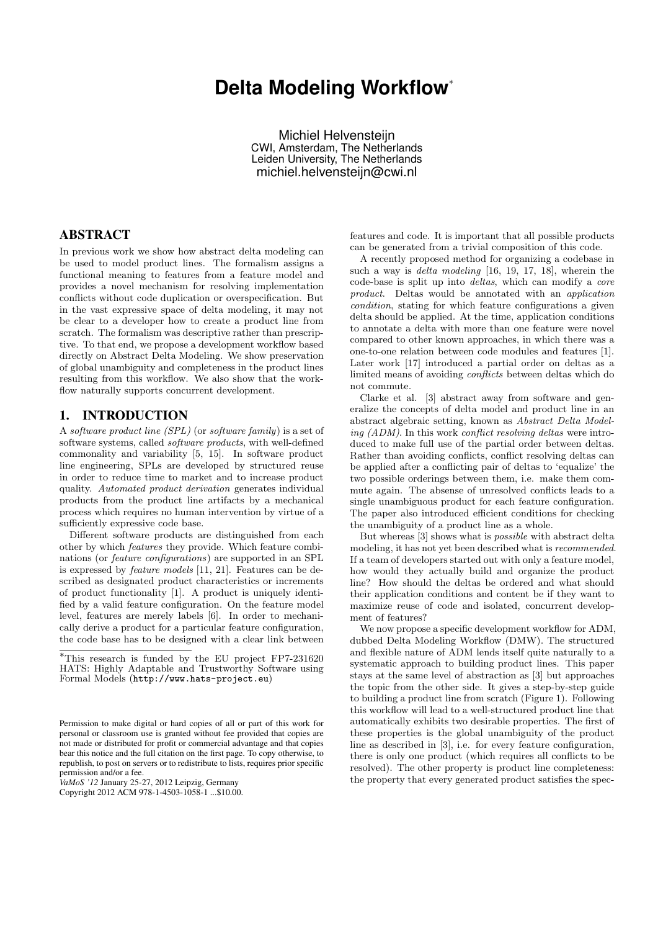# **Delta Modeling Workflow**<sup>∗</sup>

Michiel Helvensteijn CWI, Amsterdam, The Netherlands Leiden University, The Netherlands michiel.helvensteijn@cwi.nl

## ABSTRACT

In previous work we show how abstract delta modeling can be used to model product lines. The formalism assigns a functional meaning to features from a feature model and provides a novel mechanism for resolving implementation conflicts without code duplication or overspecification. But in the vast expressive space of delta modeling, it may not be clear to a developer how to create a product line from scratch. The formalism was descriptive rather than prescriptive. To that end, we propose a development workflow based directly on Abstract Delta Modeling. We show preservation of global unambiguity and completeness in the product lines resulting from this workflow. We also show that the workflow naturally supports concurrent development.

# 1. INTRODUCTION

A software product line (SPL) (or software family) is a set of software systems, called software products, with well-defined commonality and variability [5, 15]. In software product line engineering, SPLs are developed by structured reuse in order to reduce time to market and to increase product quality. Automated product derivation generates individual products from the product line artifacts by a mechanical process which requires no human intervention by virtue of a sufficiently expressive code base.

Different software products are distinguished from each other by which features they provide. Which feature combinations (or feature configurations) are supported in an SPL is expressed by feature models [11, 21]. Features can be described as designated product characteristics or increments of product functionality [1]. A product is uniquely identified by a valid feature configuration. On the feature model level, features are merely labels [6]. In order to mechanically derive a product for a particular feature configuration, the code base has to be designed with a clear link between

*VaMoS '12* January 25-27, 2012 Leipzig, Germany Copyright 2012 ACM 978-1-4503-1058-1 ...\$10.00.

features and code. It is important that all possible products can be generated from a trivial composition of this code.

A recently proposed method for organizing a codebase in such a way is delta modeling [16, 19, 17, 18], wherein the code-base is split up into deltas, which can modify a core product. Deltas would be annotated with an application condition, stating for which feature configurations a given delta should be applied. At the time, application conditions to annotate a delta with more than one feature were novel compared to other known approaches, in which there was a one-to-one relation between code modules and features [1]. Later work [17] introduced a partial order on deltas as a limited means of avoiding conflicts between deltas which do not commute.

Clarke et al. [3] abstract away from software and generalize the concepts of delta model and product line in an abstract algebraic setting, known as Abstract Delta Modeling (ADM). In this work conflict resolving deltas were introduced to make full use of the partial order between deltas. Rather than avoiding conflicts, conflict resolving deltas can be applied after a conflicting pair of deltas to 'equalize' the two possible orderings between them, i.e. make them commute again. The absense of unresolved conflicts leads to a single unambiguous product for each feature configuration. The paper also introduced efficient conditions for checking the unambiguity of a product line as a whole.

But whereas [3] shows what is possible with abstract delta modeling, it has not yet been described what is recommended. If a team of developers started out with only a feature model, how would they actually build and organize the product line? How should the deltas be ordered and what should their application conditions and content be if they want to maximize reuse of code and isolated, concurrent development of features?

We now propose a specific development workflow for ADM, dubbed Delta Modeling Workflow (DMW). The structured and flexible nature of ADM lends itself quite naturally to a systematic approach to building product lines. This paper stays at the same level of abstraction as [3] but approaches the topic from the other side. It gives a step-by-step guide to building a product line from scratch (Figure 1). Following this workflow will lead to a well-structured product line that automatically exhibits two desirable properties. The first of these properties is the global unambiguity of the product line as described in [3], i.e. for every feature configuration, there is only one product (which requires all conflicts to be resolved). The other property is product line completeness: the property that every generated product satisfies the spec-

<sup>∗</sup>This research is funded by the EU project FP7-231620 HATS: Highly Adaptable and Trustworthy Software using Formal Models (http://www.hats-project.eu)

Permission to make digital or hard copies of all or part of this work for personal or classroom use is granted without fee provided that copies are not made or distributed for profit or commercial advantage and that copies bear this notice and the full citation on the first page. To copy otherwise, to republish, to post on servers or to redistribute to lists, requires prior specific permission and/or a fee.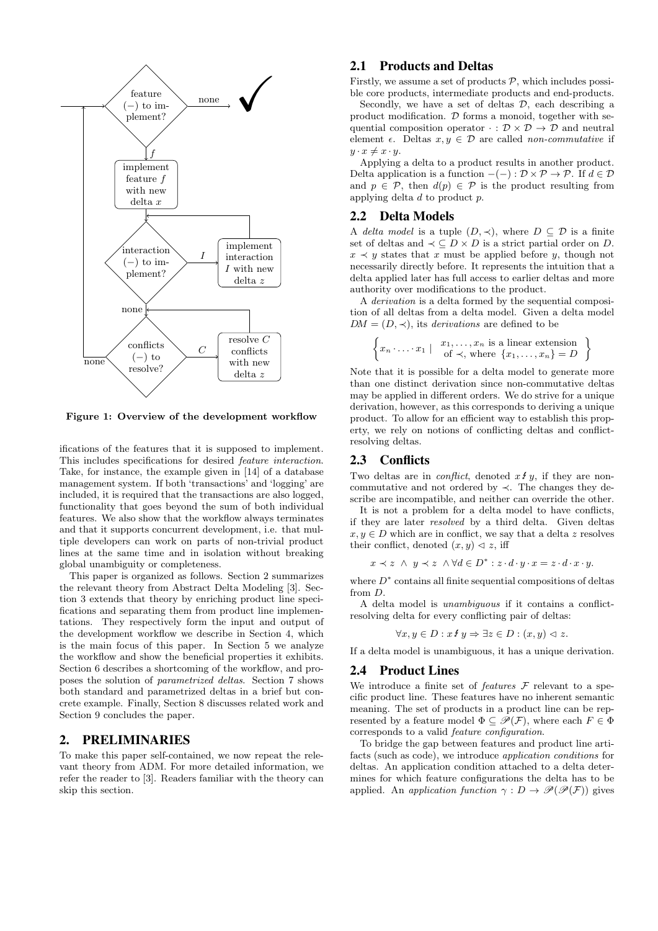

Figure 1: Overview of the development workflow

ifications of the features that it is supposed to implement. This includes specifications for desired feature interaction. Take, for instance, the example given in [14] of a database management system. If both 'transactions' and 'logging' are included, it is required that the transactions are also logged, functionality that goes beyond the sum of both individual features. We also show that the workflow always terminates and that it supports concurrent development, i.e. that multiple developers can work on parts of non-trivial product lines at the same time and in isolation without breaking global unambiguity or completeness.

This paper is organized as follows. Section 2 summarizes the relevant theory from Abstract Delta Modeling [3]. Section 3 extends that theory by enriching product line specifications and separating them from product line implementations. They respectively form the input and output of the development workflow we describe in Section 4, which is the main focus of this paper. In Section 5 we analyze the workflow and show the beneficial properties it exhibits. Section 6 describes a shortcoming of the workflow, and proposes the solution of parametrized deltas. Section 7 shows both standard and parametrized deltas in a brief but concrete example. Finally, Section 8 discusses related work and Section 9 concludes the paper.

#### 2. PRELIMINARIES

To make this paper self-contained, we now repeat the relevant theory from ADM. For more detailed information, we refer the reader to [3]. Readers familiar with the theory can skip this section.

## 2.1 Products and Deltas

Firstly, we assume a set of products  $P$ , which includes possible core products, intermediate products and end-products.

Secondly, we have a set of deltas  $D$ , each describing a product modification.  $D$  forms a monoid, together with sequential composition operator  $\cdot : \mathcal{D} \times \mathcal{D} \rightarrow \mathcal{D}$  and neutral element  $\epsilon$ . Deltas  $x, y \in \mathcal{D}$  are called non-commutative if  $y \cdot x \neq x \cdot y$ .

Applying a delta to a product results in another product. Delta application is a function  $-(-): \mathcal{D} \times \mathcal{P} \to \mathcal{P}$ . If  $d \in \mathcal{D}$ and  $p \in \mathcal{P}$ , then  $d(p) \in \mathcal{P}$  is the product resulting from applying delta d to product p.

#### 2.2 Delta Models

A delta model is a tuple  $(D, \prec)$ , where  $D \subseteq \mathcal{D}$  is a finite set of deltas and  $\prec \subseteq D \times D$  is a strict partial order on D.  $x \prec y$  states that x must be applied before y, though not necessarily directly before. It represents the intuition that a delta applied later has full access to earlier deltas and more authority over modifications to the product.

A derivation is a delta formed by the sequential composition of all deltas from a delta model. Given a delta model  $DM = (D, \prec)$ , its *derivations* are defined to be

$$
\left\{ x_n \cdot \ldots \cdot x_1 \mid \begin{array}{c} x_1, \ldots, x_n \text{ is a linear extension} \\ \text{of } \prec, \text{ where } \{x_1, \ldots, x_n\} = D \end{array} \right\}
$$

Note that it is possible for a delta model to generate more than one distinct derivation since non-commutative deltas may be applied in different orders. We do strive for a unique derivation, however, as this corresponds to deriving a unique product. To allow for an efficient way to establish this property, we rely on notions of conflicting deltas and conflictresolving deltas.

#### 2.3 Conflicts

Two deltas are in *conflict*, denoted  $x \notin y$ , if they are noncommutative and not ordered by ≺. The changes they describe are incompatible, and neither can override the other.

It is not a problem for a delta model to have conflicts, if they are later resolved by a third delta. Given deltas  $x, y \in D$  which are in conflict, we say that a delta z resolves their conflict, denoted  $(x, y) \triangleleft z$ , iff

$$
x \prec z \ \land \ y \prec z \ \land \forall d \in D^* : z \cdot d \cdot y \cdot x = z \cdot d \cdot x \cdot y.
$$

where  $D^*$  contains all finite sequential compositions of deltas from D.

A delta model is unambiguous if it contains a conflictresolving delta for every conflicting pair of deltas:

$$
\forall x, y \in D : x \mathcal{L} y \Rightarrow \exists z \in D : (x, y) \vartriangleleft z.
$$

If a delta model is unambiguous, it has a unique derivation.

#### 2.4 Product Lines

We introduce a finite set of *features*  $\mathcal F$  relevant to a specific product line. These features have no inherent semantic meaning. The set of products in a product line can be represented by a feature model  $\Phi \subseteq \mathscr{P}(\mathcal{F})$ , where each  $F \in \Phi$ corresponds to a valid feature configuration.

To bridge the gap between features and product line artifacts (such as code), we introduce application conditions for deltas. An application condition attached to a delta determines for which feature configurations the delta has to be applied. An application function  $\gamma : D \to \mathscr{P}(\mathscr{P}(F))$  gives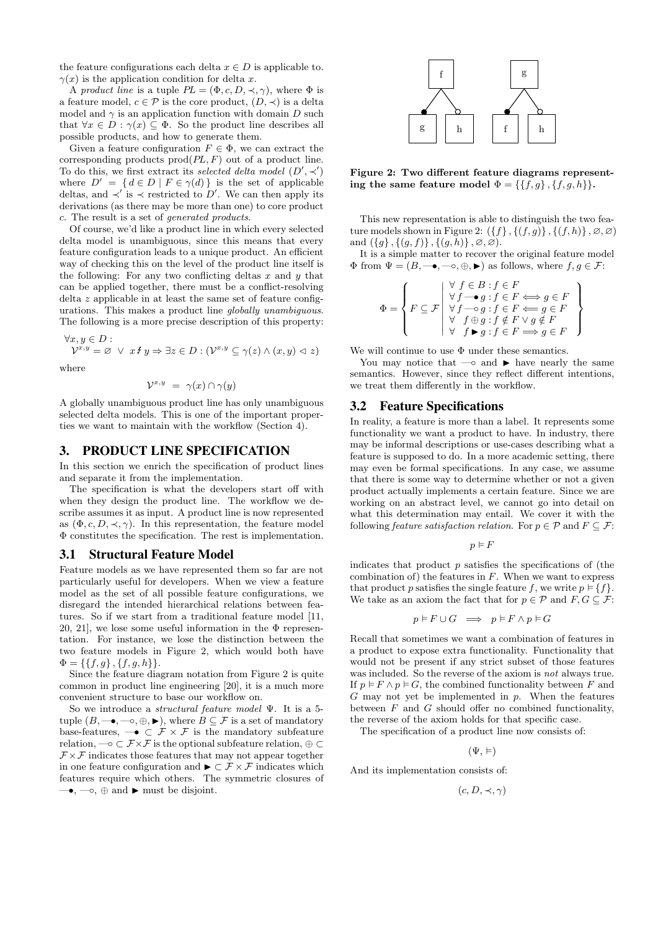the feature configurations each delta  $x \in D$  is applicable to.  $\gamma(x)$  is the application condition for delta x.

A product line is a tuple  $PL = (\Phi, c, D, \prec, \gamma)$ , where  $\Phi$  is a feature model,  $c \in \mathcal{P}$  is the core product,  $(D, \prec)$  is a delta model and  $\gamma$  is an application function with domain D such that  $\forall x \in D : \gamma(x) \subseteq \Phi$ . So the product line describes all possible products, and how to generate them.

Given a feature configuration  $F \in \Phi$ , we can extract the corresponding products  $\text{prod}(PL, F)$  out of a product line. To do this, we first extract its selected delta model  $(D', \prec')$ where  $D' = \{ d \in D \mid F \in \gamma(d) \}$  is the set of applicable deltas, and  $\prec'$  is  $\prec$  restricted to D'. We can then apply its derivations (as there may be more than one) to core product c. The result is a set of generated products.

Of course, we'd like a product line in which every selected delta model is unambiguous, since this means that every feature configuration leads to a unique product. An efficient way of checking this on the level of the product line itself is the following: For any two conflicting deltas  $x$  and  $y$  that can be applied together, there must be a conflict-resolving delta z applicable in at least the same set of feature configurations. This makes a product line globally unambiguous. The following is a more precise description of this property:

$$
\forall x, y \in D:
$$

 $\mathcal{V}^{x,y} = \varnothing \ \lor \ x \mathcal{L} y \Rightarrow \exists z \in D : (\mathcal{V}^{x,y} \subseteq \gamma(z) \land (x,y) \vartriangleleft z)$ 

where

$$
\mathcal{V}^{x,y} = \gamma(x) \cap \gamma(y)
$$

A globally unambiguous product line has only unambiguous selected delta models. This is one of the important properties we want to maintain with the workflow (Section 4).

#### 3. PRODUCT LINE SPECIFICATION

In this section we enrich the specification of product lines and separate it from the implementation.

The specification is what the developers start off with when they design the product line. The workflow we describe assumes it as input. A product line is now represented as  $(\Phi, c, D, \prec, \gamma)$ . In this representation, the feature model Φ constitutes the specification. The rest is implementation.

#### 3.1 Structural Feature Model

Feature models as we have represented them so far are not particularly useful for developers. When we view a feature model as the set of all possible feature configurations, we disregard the intended hierarchical relations between features. So if we start from a traditional feature model [11, 20, 21], we lose some useful information in the  $\Phi$  representation. For instance, we lose the distinction between the two feature models in Figure 2, which would both have  $\Phi = \{\{f,g\},\{f,g,h\}\}.$ 

Since the feature diagram notation from Figure 2 is quite common in product line engineering [20], it is a much more convenient structure to base our workflow on.

So we introduce a structural feature model Ψ. It is a 5 tuple  $(B, \longrightarrow, \longrightarrow, \oplus, \blacktriangleright)$ , where  $B \subseteq \mathcal{F}$  is a set of mandatory base-features,  $\rightarrow \in \mathcal{F} \times \mathcal{F}$  is the mandatory subfeature relation,  $\multimap \subset \mathcal{F} \times \mathcal{F}$  is the optional subfeature relation,  $\oplus \subset$  $\mathcal{F} \times \mathcal{F}$  indicates those features that may not appear together in one feature configuration and  $\blacktriangleright \subset \mathcal{F} \times \mathcal{F}$  indicates which features require which others. The symmetric closures of  $\longrightarrow, \infty, \oplus \text{ and } \blacktriangleright \text{ must be disjoint.}$ 



Figure 2: Two different feature diagrams representing the same feature model  $\Phi = \{\{f,g\},\{f,g,h\}\}.$ 

This new representation is able to distinguish the two feature models shown in Figure 2:  $(\{f\}, \{(f,g)\}, \{(f,h)\}, \emptyset, \emptyset)$ and  $({g}, {g}, f)$ ,  $({g}, h)$ ,  $\varnothing, \varnothing$ ).

It is a simple matter to recover the original feature model  $\Phi$  from  $\Psi=(B,\multimap,\multimap,\blacktriangleright)$  as follows, where  $f,g\in\mathcal{F}$ :

$$
\Phi = \left\{ F \subseteq \mathcal{F} \middle| \begin{array}{l} \forall \ f \in B : f \in F \\ \forall f \longrightarrow g : f \in F \Longleftrightarrow g \in F \\ \forall f \longrightarrow g : f \in F \Longleftrightarrow g \in F \\ \forall \ f \oplus g : f \notin F \vee g \notin F \\ \forall \ f \blacktriangleright g : f \in F \Longrightarrow g \in F \end{array} \right\}
$$

We will continue to use  $\Phi$  under these semantics.

You may notice that —∘ and  $\triangleright$  have nearly the same semantics. However, since they reflect different intentions, we treat them differently in the workflow.

## 3.2 Feature Specifications

In reality, a feature is more than a label. It represents some functionality we want a product to have. In industry, there may be informal descriptions or use-cases describing what a feature is supposed to do. In a more academic setting, there may even be formal specifications. In any case, we assume that there is some way to determine whether or not a given product actually implements a certain feature. Since we are working on an abstract level, we cannot go into detail on what this determination may entail. We cover it with the following feature satisfaction relation. For  $p \in \mathcal{P}$  and  $F \subseteq \mathcal{F}$ :

$$
p \vDash F
$$

indicates that product  $p$  satisfies the specifications of (the combination of) the features in  $F$ . When we want to express that product p satisfies the single feature f, we write  $p \in \{f\}$ . We take as an axiom the fact that for  $p \in \mathcal{P}$  and  $F, G \subseteq \mathcal{F}$ :

$$
p \models F \cup G \implies p \models F \land p \models G
$$

Recall that sometimes we want a combination of features in a product to expose extra functionality. Functionality that would not be present if any strict subset of those features was included. So the reverse of the axiom is not always true. If  $p \models F \land p \models G$ , the combined functionality between F and  $G$  may not yet be implemented in  $p$ . When the features between  $F$  and  $G$  should offer no combined functionality, the reverse of the axiom holds for that specific case.

The specification of a product line now consists of:

 $(\Psi, \vDash)$ 

And its implementation consists of:

 $(c, D, \prec, \gamma)$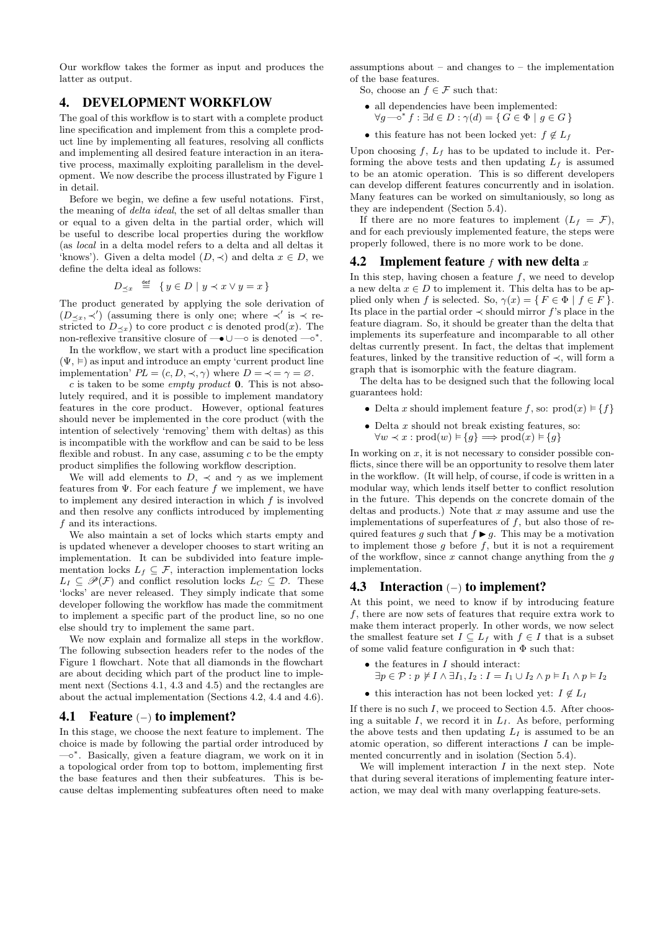Our workflow takes the former as input and produces the latter as output.

## 4. DEVELOPMENT WORKFLOW

The goal of this workflow is to start with a complete product line specification and implement from this a complete product line by implementing all features, resolving all conflicts and implementing all desired feature interaction in an iterative process, maximally exploiting parallelism in the development. We now describe the process illustrated by Figure 1 in detail.

Before we begin, we define a few useful notations. First, the meaning of delta ideal, the set of all deltas smaller than or equal to a given delta in the partial order, which will be useful to describe local properties during the workflow (as local in a delta model refers to a delta and all deltas it 'knows'). Given a delta model  $(D, \prec)$  and delta  $x \in D$ , we define the delta ideal as follows:

$$
D_{\preceq x} \stackrel{\text{def}}{=} \{ y \in D \mid y \prec x \lor y = x \}
$$

The product generated by applying the sole derivation of  $(D_{\leq x}, \prec')$  (assuming there is only one; where  $\prec'$  is  $\prec$  restricted to  $D_{\prec x}$ ) to core product c is denoted prod(x). The non-reflexive transitive closure of  $\rightarrow \cup \rightarrow$  is denoted  $\rightarrow^*$ .

In the workflow, we start with a product line specification  $(\Psi, \vDash)$  as input and introduce an empty 'current product line implementation'  $PL = (c, D, \prec, \gamma)$  where  $D = \prec = \gamma = \emptyset$ .

c is taken to be some *empty product* **0**. This is not absolutely required, and it is possible to implement mandatory features in the core product. However, optional features should never be implemented in the core product (with the intention of selectively 'removing' them with deltas) as this is incompatible with the workflow and can be said to be less flexible and robust. In any case, assuming  $c$  to be the empty product simplifies the following workflow description.

We will add elements to  $D$ ,  $\prec$  and  $\gamma$  as we implement features from  $\Psi$ . For each feature f we implement, we have to implement any desired interaction in which f is involved and then resolve any conflicts introduced by implementing f and its interactions.

We also maintain a set of locks which starts empty and is updated whenever a developer chooses to start writing an implementation. It can be subdivided into feature implementation locks  $L_f \subseteq \mathcal{F}$ , interaction implementation locks  $L_I \subseteq \mathscr{P}(\mathcal{F})$  and conflict resolution locks  $L_C \subseteq \mathcal{D}$ . These 'locks' are never released. They simply indicate that some developer following the workflow has made the commitment to implement a specific part of the product line, so no one else should try to implement the same part.

We now explain and formalize all steps in the workflow. The following subsection headers refer to the nodes of the Figure 1 flowchart. Note that all diamonds in the flowchart are about deciding which part of the product line to implement next (Sections 4.1, 4.3 and 4.5) and the rectangles are about the actual implementation (Sections 4.2, 4.4 and 4.6).

#### 4.1 Feature (−) to implement?

In this stage, we choose the next feature to implement. The choice is made by following the partial order introduced by —◦ ∗ . Basically, given a feature diagram, we work on it in a topological order from top to bottom, implementing first the base features and then their subfeatures. This is because deltas implementing subfeatures often need to make

assumptions about – and changes to – the implementation of the base features.

- So, choose an  $f \in \mathcal{F}$  such that:
- all dependencies have been implemented:
	- $\forall g \rightarrow \neg^* f : \exists d \in D : \gamma(d) = \{ G \in \Phi \mid g \in G \}$
- this feature has not been locked yet:  $f \notin L_f$

Upon choosing  $f, L_f$  has to be updated to include it. Performing the above tests and then updating  $L_f$  is assumed to be an atomic operation. This is so different developers can develop different features concurrently and in isolation. Many features can be worked on simultaniously, so long as they are independent (Section 5.4).

If there are no more features to implement  $(L_f = \mathcal{F})$ , and for each previously implemented feature, the steps were properly followed, there is no more work to be done.

#### 4.2 Implement feature f with new delta x

In this step, having chosen a feature  $f$ , we need to develop a new delta  $x \in D$  to implement it. This delta has to be applied only when f is selected. So,  $\gamma(x) = \{ F \in \Phi \mid f \in F \}.$ Its place in the partial order  $\prec$  should mirror f's place in the feature diagram. So, it should be greater than the delta that implements its superfeature and incomparable to all other deltas currently present. In fact, the deltas that implement features, linked by the transitive reduction of  $\prec$ , will form a graph that is isomorphic with the feature diagram.

The delta has to be designed such that the following local guarantees hold:

- Delta x should implement feature f, so:  $\text{prod}(x) \models \{f\}$
- $\bullet$  Delta  $x$  should not break existing features, so:  $\forall w \prec x : \text{prod}(w) \models \{g\} \Longrightarrow \text{prod}(x) \models \{g\}$

In working on  $x$ , it is not necessary to consider possible conflicts, since there will be an opportunity to resolve them later in the workflow. (It will help, of course, if code is written in a modular way, which lends itself better to conflict resolution in the future. This depends on the concrete domain of the deltas and products.) Note that  $x$  may assume and use the implementations of superfeatures of  $f$ , but also those of required features g such that  $f \triangleright g$ . This may be a motivation to implement those  $g$  before  $f$ , but it is not a requirement of the workflow, since  $x$  cannot change anything from the  $g$ implementation.

## 4.3 Interaction (−) to implement?

At this point, we need to know if by introducing feature f, there are now sets of features that require extra work to make them interact properly. In other words, we now select the smallest feature set  $I \subseteq L_f$  with  $f \in I$  that is a subset of some valid feature configuration in  $\Phi$  such that:

- $\bullet$  the features in  $I$  should interact:  $\exists p \in \mathcal{P} : p \not\models I \wedge \exists I_1, I_2 : I = I_1 \cup I_2 \wedge p \vDash I_1 \wedge p \vDash I_2$
- this interaction has not been locked yet:  $I \notin L_I$

If there is no such  $I$ , we proceed to Section 4.5. After choosing a suitable  $I$ , we record it in  $L_I$ . As before, performing the above tests and then updating  $L_I$  is assumed to be an atomic operation, so different interactions  $I$  can be implemented concurrently and in isolation (Section 5.4).

We will implement interaction  $I$  in the next step. Note that during several iterations of implementing feature interaction, we may deal with many overlapping feature-sets.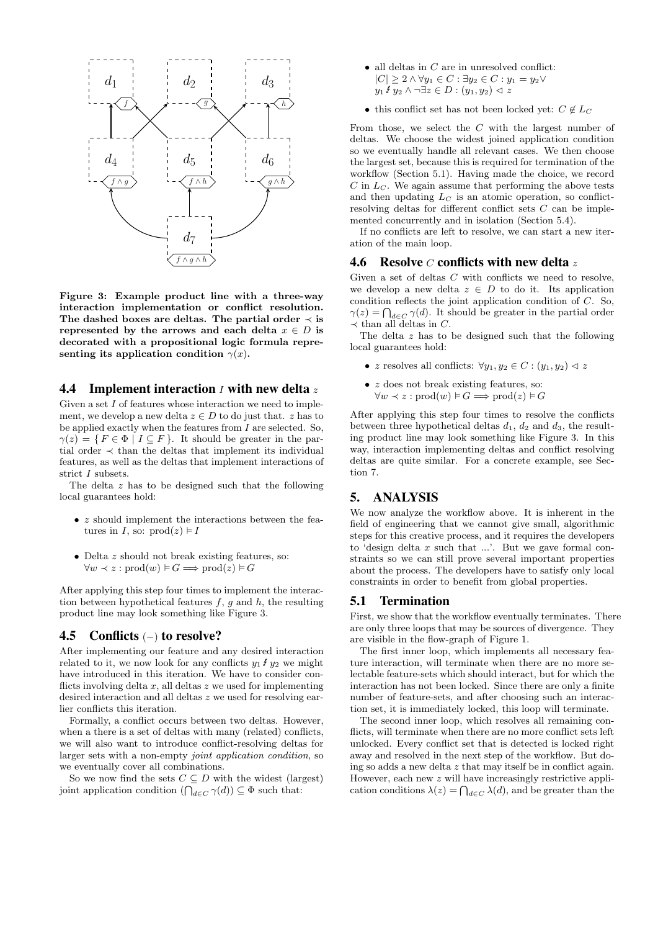

Figure 3: Example product line with a three-way interaction implementation or conflict resolution. The dashed boxes are deltas. The partial order  $\prec$  is represented by the arrows and each delta  $x \in D$  is decorated with a propositional logic formula representing its application condition  $\gamma(x)$ .

## 4.4 Implement interaction  $I$  with new delta  $z$

Given a set  $I$  of features whose interaction we need to implement, we develop a new delta  $z \in D$  to do just that. z has to be applied exactly when the features from  $I$  are selected. So,  $\gamma(z) = \{ F \in \Phi \mid I \subseteq F \}.$  It should be greater in the partial order  $\prec$  than the deltas that implement its individual features, as well as the deltas that implement interactions of strict I subsets.

The delta z has to be designed such that the following local guarantees hold:

- *z* should implement the interactions between the features in I, so:  $\text{prod}(z) \models I$
- Delta z should not break existing features, so:  $\forall w \prec z : \text{prod}(w) \models G \Longrightarrow \text{prod}(z) \models G$

After applying this step four times to implement the interaction between hypothetical features  $f, g$  and  $h$ , the resulting product line may look something like Figure 3.

## 4.5 Conflicts (−) to resolve?

After implementing our feature and any desired interaction related to it, we now look for any conflicts  $y_1 \mathcal{F} y_2$  we might have introduced in this iteration. We have to consider conflicts involving delta  $x$ , all deltas  $z$  we used for implementing desired interaction and all deltas z we used for resolving earlier conflicts this iteration.

Formally, a conflict occurs between two deltas. However, when a there is a set of deltas with many (related) conflicts, we will also want to introduce conflict-resolving deltas for larger sets with a non-empty joint application condition, so we eventually cover all combinations.

So we now find the sets  $C \subseteq D$  with the widest (largest) joint application condition  $(\bigcap_{d \in C} \gamma(d)) \subseteq \Phi$  such that:

- $\bullet\,$  all deltas in  $C$  are in unresolved conflict:  $|C| \geq 2 \wedge \forall y_1 \in C : \exists y_2 \in C : y_1 = y_2 \vee$  $y_1$  f  $y_2 \wedge \neg \exists z \in D : (y_1, y_2) \vartriangleleft z$
- this conflict set has not been locked yet:  $C \notin L_C$

From those, we select the C with the largest number of deltas. We choose the widest joined application condition so we eventually handle all relevant cases. We then choose the largest set, because this is required for termination of the workflow (Section 5.1). Having made the choice, we record  $C$  in  $L<sub>C</sub>$ . We again assume that performing the above tests and then updating  $L<sub>C</sub>$  is an atomic operation, so conflictresolving deltas for different conflict sets C can be implemented concurrently and in isolation (Section 5.4).

If no conflicts are left to resolve, we can start a new iteration of the main loop.

#### 4.6 Resolve  $\mathcal C$  conflicts with new delta z

Given a set of deltas  $C$  with conflicts we need to resolve, we develop a new delta  $z \in D$  to do it. Its application condition reflects the joint application condition of C. So,  $\gamma(z) = \bigcap_{d \in C} \gamma(d)$ . It should be greater in the partial order  $\prec$  than all deltas in C.

The delta z has to be designed such that the following local guarantees hold:

- z resolves all conflicts:  $\forall y_1, y_2 \in C : (y_1, y_2) \triangleleft z$
- $\bullet$  z does not break existing features, so:  $\forall w \prec z : \text{prod}(w) \models G \Longrightarrow \text{prod}(z) \models G$

After applying this step four times to resolve the conflicts between three hypothetical deltas  $d_1$ ,  $d_2$  and  $d_3$ , the resulting product line may look something like Figure 3. In this way, interaction implementing deltas and conflict resolving deltas are quite similar. For a concrete example, see Section 7.

## 5. ANALYSIS

We now analyze the workflow above. It is inherent in the field of engineering that we cannot give small, algorithmic steps for this creative process, and it requires the developers to 'design delta  $x$  such that ...'. But we gave formal constraints so we can still prove several important properties about the process. The developers have to satisfy only local constraints in order to benefit from global properties.

#### 5.1 Termination

First, we show that the workflow eventually terminates. There are only three loops that may be sources of divergence. They are visible in the flow-graph of Figure 1.

The first inner loop, which implements all necessary feature interaction, will terminate when there are no more selectable feature-sets which should interact, but for which the interaction has not been locked. Since there are only a finite number of feature-sets, and after choosing such an interaction set, it is immediately locked, this loop will terminate.

The second inner loop, which resolves all remaining conflicts, will terminate when there are no more conflict sets left unlocked. Every conflict set that is detected is locked right away and resolved in the next step of the workflow. But doing so adds a new delta  $z$  that may itself be in conflict again. However, each new z will have increasingly restrictive application conditions  $\lambda(z) = \bigcap_{d \in C} \lambda(d)$ , and be greater than the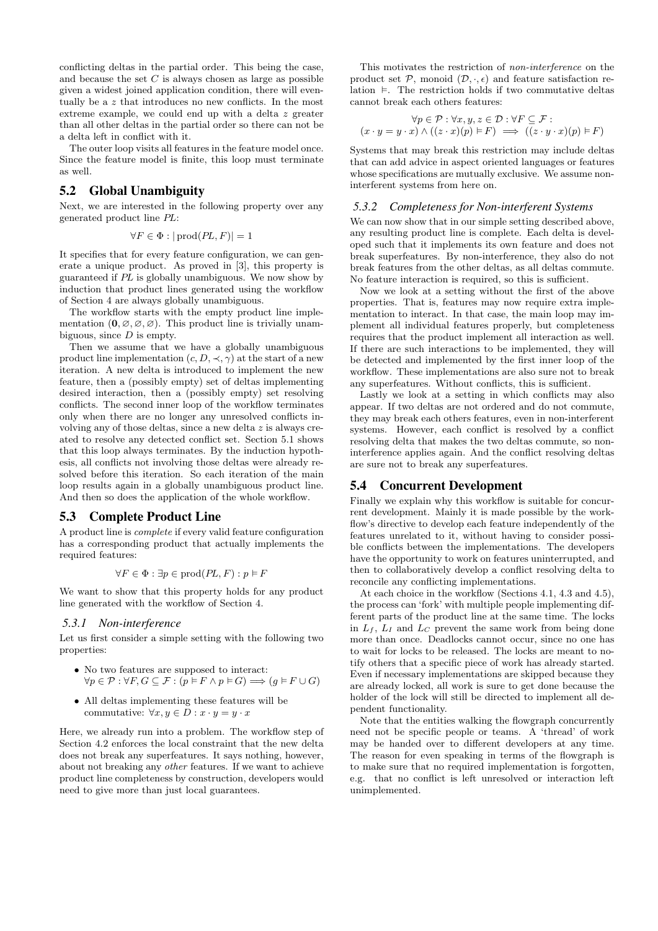conflicting deltas in the partial order. This being the case, and because the set  $C$  is always chosen as large as possible given a widest joined application condition, there will eventually be a  $z$  that introduces no new conflicts. In the most extreme example, we could end up with a delta z greater than all other deltas in the partial order so there can not be a delta left in conflict with it.

The outer loop visits all features in the feature model once. Since the feature model is finite, this loop must terminate as well.

## 5.2 Global Unambiguity

Next, we are interested in the following property over any generated product line PL:

$$
\forall F \in \Phi : |\text{prod}(PL, F)| = 1
$$

It specifies that for every feature configuration, we can generate a unique product. As proved in [3], this property is guaranteed if PL is globally unambiguous. We now show by induction that product lines generated using the workflow of Section 4 are always globally unambiguous.

The workflow starts with the empty product line implementation  $(0, \emptyset, \emptyset, \emptyset)$ . This product line is trivially unambiguous, since  $D$  is empty.

Then we assume that we have a globally unambiguous product line implementation  $(c, D, \prec, \gamma)$  at the start of a new iteration. A new delta is introduced to implement the new feature, then a (possibly empty) set of deltas implementing desired interaction, then a (possibly empty) set resolving conflicts. The second inner loop of the workflow terminates only when there are no longer any unresolved conflicts involving any of those deltas, since a new delta z is always created to resolve any detected conflict set. Section 5.1 shows that this loop always terminates. By the induction hypothesis, all conflicts not involving those deltas were already resolved before this iteration. So each iteration of the main loop results again in a globally unambiguous product line. And then so does the application of the whole workflow.

#### 5.3 Complete Product Line

A product line is complete if every valid feature configuration has a corresponding product that actually implements the required features:

$$
\forall F \in \Phi : \exists p \in \text{prod}(PL, F) : p \models F
$$

We want to show that this property holds for any product line generated with the workflow of Section 4.

#### *5.3.1 Non-interference*

Let us first consider a simple setting with the following two properties:

- No two features are supposed to interact:  $\forall p \in \mathcal{P}: \forall F, G \subseteq \mathcal{F}: (p \models F \land p \models G) \Longrightarrow (g \models F \cup G)$
- All deltas implementing these features will be commutative:  $\forall x, y \in D : x \cdot y = y \cdot x$

Here, we already run into a problem. The workflow step of Section 4.2 enforces the local constraint that the new delta does not break any superfeatures. It says nothing, however, about not breaking any other features. If we want to achieve product line completeness by construction, developers would need to give more than just local guarantees.

This motivates the restriction of non-interference on the product set  $P$ , monoid  $(D, \cdot, \epsilon)$  and feature satisfaction relation  $\models$ . The restriction holds if two commutative deltas cannot break each others features:

$$
\forall p \in \mathcal{P} : \forall x, y, z \in \mathcal{D} : \forall F \subseteq \mathcal{F} : \\
(x \cdot y = y \cdot x) \land ((z \cdot x)(p) \vDash F) \implies ((z \cdot y \cdot x)(p) \vDash F)
$$

Systems that may break this restriction may include deltas that can add advice in aspect oriented languages or features whose specifications are mutually exclusive. We assume noninterferent systems from here on.

#### *5.3.2 Completeness for Non-interferent Systems*

We can now show that in our simple setting described above, any resulting product line is complete. Each delta is developed such that it implements its own feature and does not break superfeatures. By non-interference, they also do not break features from the other deltas, as all deltas commute. No feature interaction is required, so this is sufficient.

Now we look at a setting without the first of the above properties. That is, features may now require extra implementation to interact. In that case, the main loop may implement all individual features properly, but completeness requires that the product implement all interaction as well. If there are such interactions to be implemented, they will be detected and implemented by the first inner loop of the workflow. These implementations are also sure not to break any superfeatures. Without conflicts, this is sufficient.

Lastly we look at a setting in which conflicts may also appear. If two deltas are not ordered and do not commute, they may break each others features, even in non-interferent systems. However, each conflict is resolved by a conflict resolving delta that makes the two deltas commute, so noninterference applies again. And the conflict resolving deltas are sure not to break any superfeatures.

## 5.4 Concurrent Development

Finally we explain why this workflow is suitable for concurrent development. Mainly it is made possible by the workflow's directive to develop each feature independently of the features unrelated to it, without having to consider possible conflicts between the implementations. The developers have the opportunity to work on features uninterrupted, and then to collaboratively develop a conflict resolving delta to reconcile any conflicting implementations.

At each choice in the workflow (Sections 4.1, 4.3 and 4.5), the process can 'fork' with multiple people implementing different parts of the product line at the same time. The locks in  $L_f$ ,  $L_I$  and  $L_C$  prevent the same work from being done more than once. Deadlocks cannot occur, since no one has to wait for locks to be released. The locks are meant to notify others that a specific piece of work has already started. Even if necessary implementations are skipped because they are already locked, all work is sure to get done because the holder of the lock will still be directed to implement all dependent functionality.

Note that the entities walking the flowgraph concurrently need not be specific people or teams. A 'thread' of work may be handed over to different developers at any time. The reason for even speaking in terms of the flowgraph is to make sure that no required implementation is forgotten, e.g. that no conflict is left unresolved or interaction left unimplemented.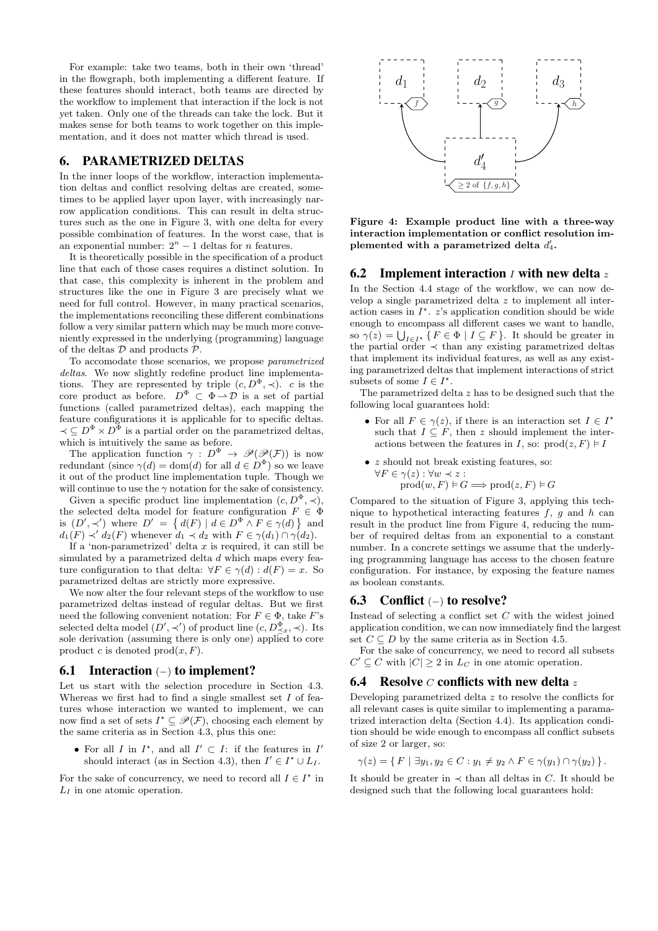For example: take two teams, both in their own 'thread' in the flowgraph, both implementing a different feature. If these features should interact, both teams are directed by the workflow to implement that interaction if the lock is not yet taken. Only one of the threads can take the lock. But it makes sense for both teams to work together on this implementation, and it does not matter which thread is used.

## 6. PARAMETRIZED DELTAS

In the inner loops of the workflow, interaction implementation deltas and conflict resolving deltas are created, sometimes to be applied layer upon layer, with increasingly narrow application conditions. This can result in delta structures such as the one in Figure 3, with one delta for every possible combination of features. In the worst case, that is an exponential number:  $2^n - 1$  deltas for *n* features.

It is theoretically possible in the specification of a product line that each of those cases requires a distinct solution. In that case, this complexity is inherent in the problem and structures like the one in Figure 3 are precisely what we need for full control. However, in many practical scenarios, the implementations reconciling these different combinations follow a very similar pattern which may be much more conveniently expressed in the underlying (programming) language of the deltas  $D$  and products  $\mathcal{P}$ .

To accomodate those scenarios, we propose parametrized deltas. We now slightly redefine product line implementations. They are represented by triple  $(c, D^{\Phi}, \prec)$ . c is the core product as before.  $D^{\Phi} \subset \Phi \longrightarrow \mathcal{D}$  is a set of partial functions (called parametrized deltas), each mapping the feature configurations it is applicable for to specific deltas.  $\prec \subseteq D^{\Phi} \times D^{\Phi}$  is a partial order on the parametrized deltas, which is intuitively the same as before.

The application function  $\gamma : D^{\Phi} \to \mathscr{P}(\mathscr{P}(F))$  is now redundant (since  $\gamma(d) = \text{dom}(d)$  for all  $d \in D^{\Phi}$ ) so we leave it out of the product line implementation tuple. Though we will continue to use the  $\gamma$  notation for the sake of consistency.

Given a specific product line implementation  $(c, D^{\Phi}, \prec)$ , the selected delta model for feature configuration  $F \in \Phi$ is  $(D', \prec')$  where  $D' = \{ d(F) | d \in D^{\Phi} \wedge F \in \gamma(d) \}$  and  $d_1(F) \prec' d_2(F)$  whenever  $d_1 \prec d_2$  with  $F \in \gamma(d_1) \cap \gamma(d_2)$ .

If a 'non-parametrized' delta  $x$  is required, it can still be simulated by a parametrized delta d which maps every feature configuration to that delta:  $\forall F \in \gamma(d) : d(F) = x$ . So parametrized deltas are strictly more expressive.

We now alter the four relevant steps of the workflow to use parametrized deltas instead of regular deltas. But we first need the following convenient notation: For  $F \in \Phi$ , take F's selected delta model  $(D', \prec')$  of product line  $(c, D_{\preceq x}^{\Phi}, \prec)$ . Its sole derivation (assuming there is only one) applied to core product c is denoted  $\text{prod}(x, F)$ .

## 6.1 Interaction (−) to implement?

Let us start with the selection procedure in Section 4.3. Whereas we first had to find a single smallest set  $I$  of features whose interaction we wanted to implement, we can now find a set of sets  $I^* \subseteq \mathcal{P}(\mathcal{F})$ , choosing each element by the same criteria as in Section 4.3, plus this one:

• For all I in  $I^*$ , and all  $I' \subset I$ : if the features in I' should interact (as in Section 4.3), then  $I' \in I^* \cup L_I$ .

For the sake of concurrency, we need to record all  $I \in I^*$  in  $L_I$  in one atomic operation.



Figure 4: Example product line with a three-way interaction implementation or conflict resolution implemented with a parametrized delta  $d'_4$ .

#### 6.2 Implement interaction  $I$  with new delta  $z$

In the Section 4.4 stage of the workflow, we can now develop a single parametrized delta z to implement all interaction cases in  $I^*$ .  $z$ 's application condition should be wide enough to encompass all different cases we want to handle, so  $\gamma(z) = \bigcup_{I \in I^*} \{ F \in \Phi \mid I \subseteq F \}.$  It should be greater in the partial order  $\prec$  than any existing parametrized deltas that implement its individual features, as well as any existing parametrized deltas that implement interactions of strict subsets of some  $I \in I^*$ .

The parametrized delta z has to be designed such that the following local guarantees hold:

- For all  $F \in \gamma(z)$ , if there is an interaction set  $I \in I^*$ such that  $I \subseteq F$ , then z should implement the interactions between the features in I, so:  $\text{prod}(z, F) \models I$
- *z* should not break existing features, so:  $\forall F \in \gamma(z) : \forall w \prec z$ :  $\text{prod}(w, F) \models G \Longrightarrow \text{prod}(z, F) \models G$

Compared to the situation of Figure 3, applying this technique to hypothetical interacting features  $f, g$  and h can result in the product line from Figure 4, reducing the number of required deltas from an exponential to a constant number. In a concrete settings we assume that the underlying programming language has access to the chosen feature configuration. For instance, by exposing the feature names as boolean constants.

#### 6.3 Conflict (−) to resolve?

Instead of selecting a conflict set  $C$  with the widest joined application condition, we can now immediately find the largest set  $C \subseteq D$  by the same criteria as in Section 4.5.

For the sake of concurrency, we need to record all subsets  $C' \subseteq C$  with  $|C| \geq 2$  in  $L_C$  in one atomic operation.

#### **6.4** Resolve  $C$  conflicts with new delta z

Developing parametrized delta  $z$  to resolve the conflicts for all relevant cases is quite similar to implementing a paramatrized interaction delta (Section 4.4). Its application condition should be wide enough to encompass all conflict subsets of size 2 or larger, so:

$$
\gamma(z) = \{ F \mid \exists y_1, y_2 \in C : y_1 \neq y_2 \land F \in \gamma(y_1) \cap \gamma(y_2) \}.
$$

It should be greater in  $\prec$  than all deltas in C. It should be designed such that the following local guarantees hold: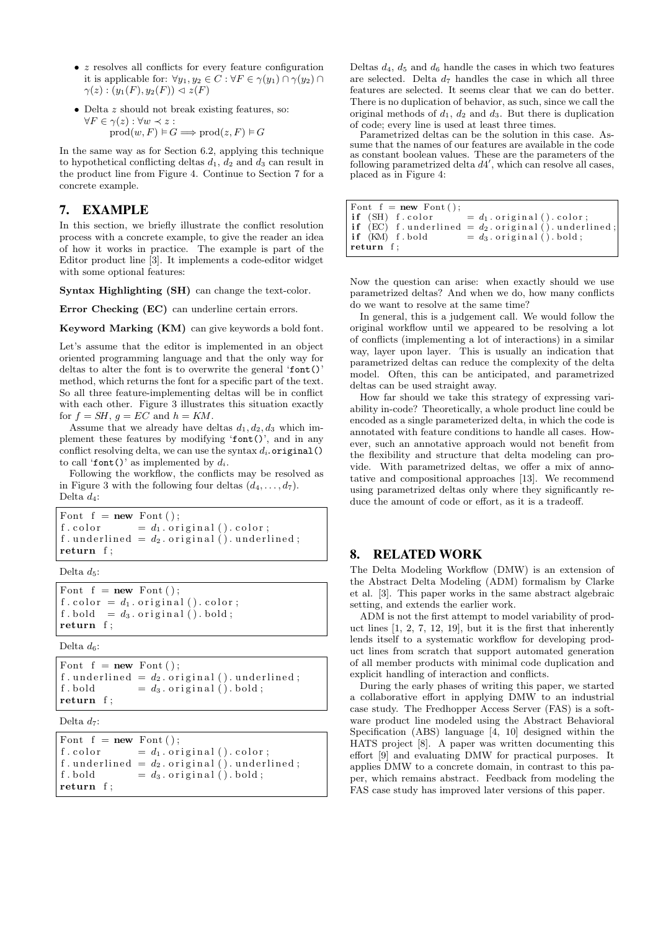- $\bullet$  z resolves all conflicts for every feature configuration it is applicable for:  $\forall y_1, y_2 \in C : \forall F \in \gamma(y_1) \cap \gamma(y_2) \cap$  $\gamma(z)$ :  $(y_1(F), y_2(F)) \triangleleft z(F)$
- Delta z should not break existing features, so:  $\forall F \in \gamma(z) : \forall w \prec z$ :

 $\text{prod}(w, F) \models G \Longrightarrow \text{prod}(z, F) \models G$ 

In the same way as for Section 6.2, applying this technique to hypothetical conflicting deltas  $d_1$ ,  $d_2$  and  $d_3$  can result in the product line from Figure 4. Continue to Section 7 for a concrete example.

# 7. EXAMPLE

In this section, we briefly illustrate the conflict resolution process with a concrete example, to give the reader an idea of how it works in practice. The example is part of the Editor product line [3]. It implements a code-editor widget with some optional features:

Syntax Highlighting (SH) can change the text-color.

Error Checking (EC) can underline certain errors.

Keyword Marking (KM) can give keywords a bold font.

Let's assume that the editor is implemented in an object oriented programming language and that the only way for deltas to alter the font is to overwrite the general 'font()' method, which returns the font for a specific part of the text. So all three feature-implementing deltas will be in conflict with each other. Figure 3 illustrates this situation exactly for  $f = SH$ ,  $g = EC$  and  $h = KM$ .

Assume that we already have deltas  $d_1, d_2, d_3$  which implement these features by modifying 'font()', and in any conflict resolving delta, we can use the syntax  $d_i$ .original() to call 'font()' as implemented by  $d_i$ .

Following the workflow, the conflicts may be resolved as in Figure 3 with the following four deltas  $(d_4, \ldots, d_7)$ . Delta  $d_4$ :

Font  $f = new$  Font (): f. color  $= d_1$ . original (). color; f . underlined =  $d_2$  . original (). underlined; return f ;

Delta  $d_5$ :

Font  $f = new$  Font (); f. color =  $d_1$ . original (). color; f.bold =  $d_3$ .original ().bold; return f;

Delta  $d_6$ :

```
Font f = new Font();
f. underlined = d_2. original (). underlined;
f.bold = d_3.original ().bold;
return f;
```
Delta  $d_7$ :

Font  $f = new$  Font (); f. color  $= d_1$ . original (). color; f. underlined =  $d_2$ . original (). underlined; f.bold  $= d_3$ .original ().bold; return f;

Deltas  $d_4$ ,  $d_5$  and  $d_6$  handle the cases in which two features are selected. Delta  $d_7$  handles the case in which all three features are selected. It seems clear that we can do better. There is no duplication of behavior, as such, since we call the original methods of  $d_1$ ,  $d_2$  and  $d_3$ . But there is duplication of code; every line is used at least three times.

Parametrized deltas can be the solution in this case. Assume that the names of our features are available in the code as constant boolean values. These are the parameters of the following parametrized delta  $d4'$ , which can resolve all cases, placed as in Figure 4:

| Font $f = new Font()$ ; |                                                              |
|-------------------------|--------------------------------------------------------------|
|                         | <b>if</b> (SH) f.color $= d_1$ .original ().color;           |
|                         | <b>if</b> (EC) f.underlined = $d_2$ .original ().underlined; |
| if (KM) f.bold          | $= d_3$ . original (). bold;                                 |
| return f;               |                                                              |

Now the question can arise: when exactly should we use parametrized deltas? And when we do, how many conflicts do we want to resolve at the same time?

In general, this is a judgement call. We would follow the original workflow until we appeared to be resolving a lot of conflicts (implementing a lot of interactions) in a similar way, layer upon layer. This is usually an indication that parametrized deltas can reduce the complexity of the delta model. Often, this can be anticipated, and parametrized deltas can be used straight away.

How far should we take this strategy of expressing variability in-code? Theoretically, a whole product line could be encoded as a single parameterized delta, in which the code is annotated with feature conditions to handle all cases. However, such an annotative approach would not benefit from the flexibility and structure that delta modeling can provide. With parametrized deltas, we offer a mix of annotative and compositional approaches [13]. We recommend using parametrized deltas only where they significantly reduce the amount of code or effort, as it is a tradeoff.

## 8. RELATED WORK

The Delta Modeling Workflow (DMW) is an extension of the Abstract Delta Modeling (ADM) formalism by Clarke et al. [3]. This paper works in the same abstract algebraic setting, and extends the earlier work.

ADM is not the first attempt to model variability of product lines [1, 2, 7, 12, 19], but it is the first that inherently lends itself to a systematic workflow for developing product lines from scratch that support automated generation of all member products with minimal code duplication and explicit handling of interaction and conflicts.

During the early phases of writing this paper, we started a collaborative effort in applying DMW to an industrial case study. The Fredhopper Access Server (FAS) is a software product line modeled using the Abstract Behavioral Specification (ABS) language [4, 10] designed within the HATS project [8]. A paper was written documenting this effort [9] and evaluating DMW for practical purposes. It applies DMW to a concrete domain, in contrast to this paper, which remains abstract. Feedback from modeling the FAS case study has improved later versions of this paper.